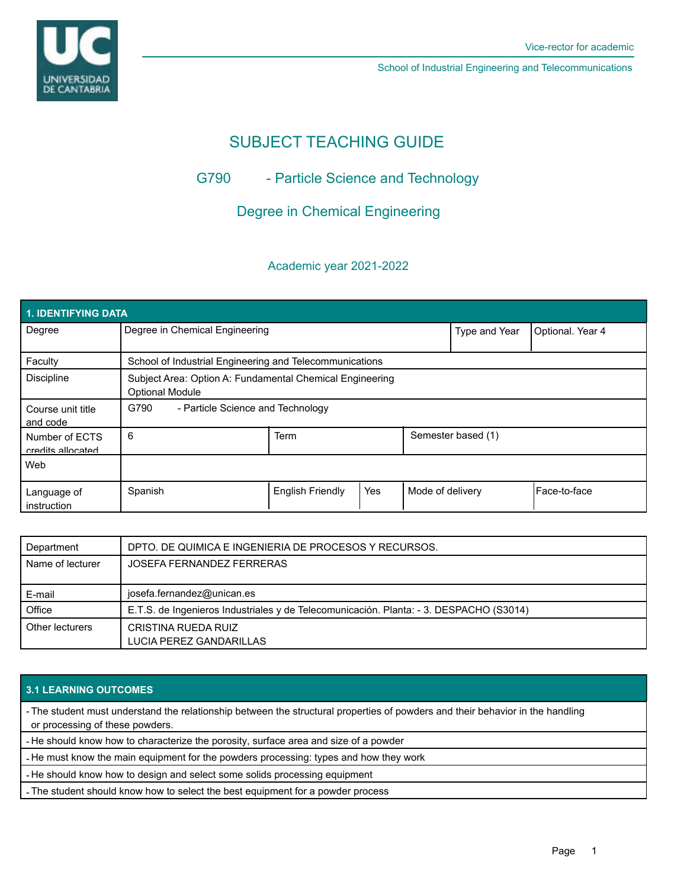



School of Industrial Engineering and Telecommunications

# SUBJECT TEACHING GUIDE

# G790 - Particle Science and Technology

## Degree in Chemical Engineering

### Academic year 2021-2022

| 1. IDENTIFYING DATA                 |                                                                                    |                         |     |                    |                  |               |  |  |  |
|-------------------------------------|------------------------------------------------------------------------------------|-------------------------|-----|--------------------|------------------|---------------|--|--|--|
| Degree                              | Degree in Chemical Engineering                                                     |                         |     | Type and Year      | Optional. Year 4 |               |  |  |  |
| Faculty                             | School of Industrial Engineering and Telecommunications                            |                         |     |                    |                  |               |  |  |  |
| <b>Discipline</b>                   | Subject Area: Option A: Fundamental Chemical Engineering<br><b>Optional Module</b> |                         |     |                    |                  |               |  |  |  |
| Course unit title<br>and code       | G790<br>- Particle Science and Technology                                          |                         |     |                    |                  |               |  |  |  |
| Number of ECTS<br>credits allocated | 6                                                                                  | Term                    |     | Semester based (1) |                  |               |  |  |  |
| Web                                 |                                                                                    |                         |     |                    |                  |               |  |  |  |
| Language of<br>instruction          | Spanish                                                                            | <b>English Friendly</b> | Yes | Mode of delivery   |                  | lFace-to-face |  |  |  |

| Department       | DPTO. DE QUIMICA E INGENIERIA DE PROCESOS Y RECURSOS.                                  |  |  |
|------------------|----------------------------------------------------------------------------------------|--|--|
| Name of lecturer | JOSEFA FERNANDEZ FERRERAS                                                              |  |  |
|                  |                                                                                        |  |  |
| E-mail           | josefa.fernandez@unican.es                                                             |  |  |
| Office           | E.T.S. de Ingenieros Industriales y de Telecomunicación. Planta: - 3. DESPACHO (S3014) |  |  |
| Other lecturers  | CRISTINA RUEDA RUIZ                                                                    |  |  |
|                  | LUCIA PEREZ GANDARILLAS                                                                |  |  |

### **3.1 LEARNING OUTCOMES**

- The student must understand the relationship between the structural properties of powders and their behavior in the handling or processing of these powders.

- He should know how to characterize the porosity, surface area and size of a powder

- He must know the main equipment for the powders processing: types and how they work

- He should know how to design and select some solids processing equipment

- The student should know how to select the best equipment for a powder process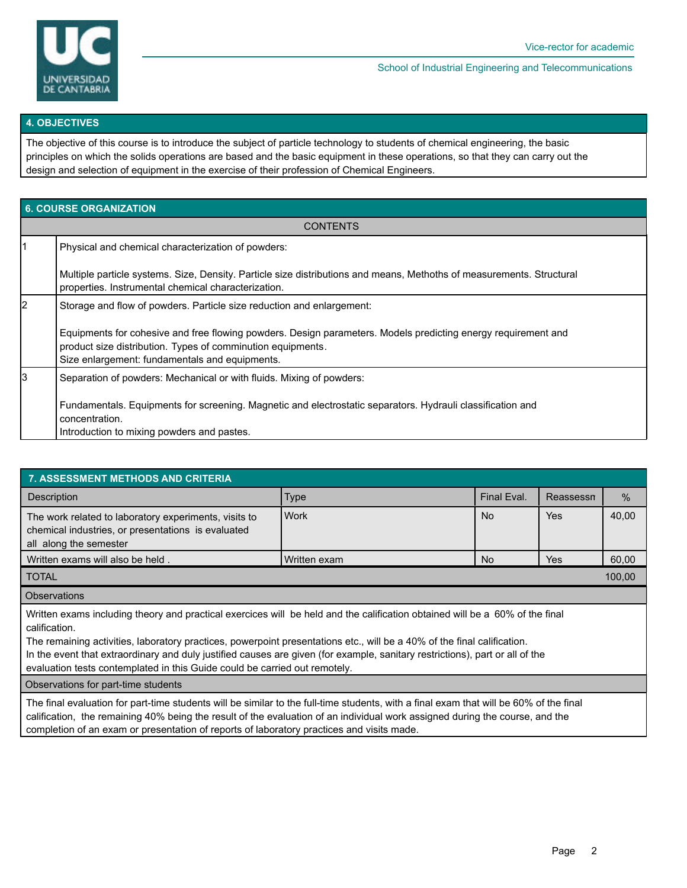

School of Industrial Engineering and Telecommunications

#### **4. OBJECTIVES**

The objective of this course is to introduce the subject of particle technology to students of chemical engineering, the basic principles on which the solids operations are based and the basic equipment in these operations, so that they can carry out the design and selection of equipment in the exercise of their profession of Chemical Engineers.

| <b>6. COURSE ORGANIZATION</b> |                                                                                                                                                                                                                                                       |  |  |  |  |  |
|-------------------------------|-------------------------------------------------------------------------------------------------------------------------------------------------------------------------------------------------------------------------------------------------------|--|--|--|--|--|
| <b>CONTENTS</b>               |                                                                                                                                                                                                                                                       |  |  |  |  |  |
| l1                            | Physical and chemical characterization of powders:                                                                                                                                                                                                    |  |  |  |  |  |
|                               | Multiple particle systems. Size, Density. Particle size distributions and means, Methoths of measurements. Structural<br>properties. Instrumental chemical characterization.                                                                          |  |  |  |  |  |
| l2                            | Storage and flow of powders. Particle size reduction and enlargement:<br>Equipments for cohesive and free flowing powders. Design parameters. Models predicting energy requirement and<br>product size distribution. Types of comminution equipments. |  |  |  |  |  |
|                               | Size enlargement: fundamentals and equipments.                                                                                                                                                                                                        |  |  |  |  |  |
| 3                             | Separation of powders: Mechanical or with fluids. Mixing of powders:                                                                                                                                                                                  |  |  |  |  |  |
|                               | Fundamentals. Equipments for screening. Magnetic and electrostatic separators. Hydrauli classification and<br>concentration.                                                                                                                          |  |  |  |  |  |
|                               | Introduction to mixing powders and pastes.                                                                                                                                                                                                            |  |  |  |  |  |

| <b>7. ASSESSMENT METHODS AND CRITERIA</b>                                                                                                                                                                                                                                                                                                                                                                                                                                              |              |             |            |       |  |  |  |  |  |
|----------------------------------------------------------------------------------------------------------------------------------------------------------------------------------------------------------------------------------------------------------------------------------------------------------------------------------------------------------------------------------------------------------------------------------------------------------------------------------------|--------------|-------------|------------|-------|--|--|--|--|--|
| Description                                                                                                                                                                                                                                                                                                                                                                                                                                                                            | <b>Type</b>  | Final Eval. | Reassessn  | $\%$  |  |  |  |  |  |
| The work related to laboratory experiments, visits to<br>chemical industries, or presentations is evaluated<br>all along the semester                                                                                                                                                                                                                                                                                                                                                  | <b>Work</b>  | <b>No</b>   | <b>Yes</b> | 40,00 |  |  |  |  |  |
| Written exams will also be held.                                                                                                                                                                                                                                                                                                                                                                                                                                                       | Written exam | No.         | Yes        | 60,00 |  |  |  |  |  |
| 100,00<br><b>TOTAL</b>                                                                                                                                                                                                                                                                                                                                                                                                                                                                 |              |             |            |       |  |  |  |  |  |
| <b>Observations</b>                                                                                                                                                                                                                                                                                                                                                                                                                                                                    |              |             |            |       |  |  |  |  |  |
| Written exams including theory and practical exercices will be held and the calification obtained will be a 60% of the final<br>calification.<br>The remaining activities, laboratory practices, powerpoint presentations etc., will be a 40% of the final calification.<br>In the event that extraordinary and duly justified causes are given (for example, sanitary restrictions), part or all of the<br>evaluation tests contemplated in this Guide could be carried out remotely. |              |             |            |       |  |  |  |  |  |
| Observations for part-time students                                                                                                                                                                                                                                                                                                                                                                                                                                                    |              |             |            |       |  |  |  |  |  |
| The final evaluation for part-time students will be similar to the full-time students, with a final exam that will be 60% of the final<br>calification, the remaining 40% being the result of the evaluation of an individual work assigned during the course, and the<br>completion of an exam or presentation of reports of laboratory practices and visits made.                                                                                                                    |              |             |            |       |  |  |  |  |  |